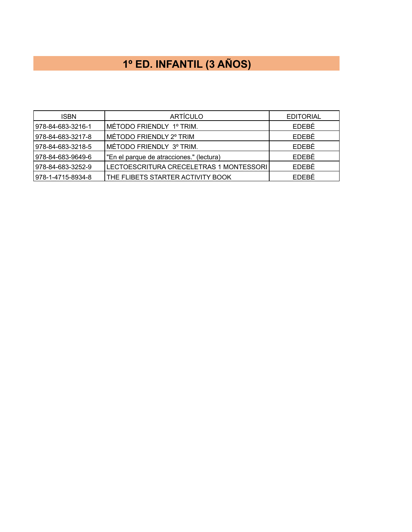# **1º ED. INFANTIL (3 AÑOS)**

| <b>ISBN</b>         | <b>ARTÍCULO</b>                           | <b>EDITORIAL</b> |
|---------------------|-------------------------------------------|------------------|
| l 978-84-683-3216-1 | ÍMÉTODO FRIENDLY 1º TRIM.                 | EDEBÉ            |
| 978-84-683-3217-8   | ∣MÉTODO FRIENDLY 2º TRIM                  | <b>FDEBÉ</b>     |
| 978-84-683-3218-5   | MÉTODO FRIENDLY 3º TRIM.                  | <b>FDEBÉ</b>     |
| 978-84-683-9649-6   | l"En el parque de atracciones." (lectura) | EDEBÉ            |
| 978-84-683-3252-9   | LECTOESCRITURA CRECELETRAS 1 MONTESSORI   | EDEBÉ            |
| 978-1-4715-8934-8   | THE FLIBETS STARTER ACTIVITY BOOK         | EDEBÉ            |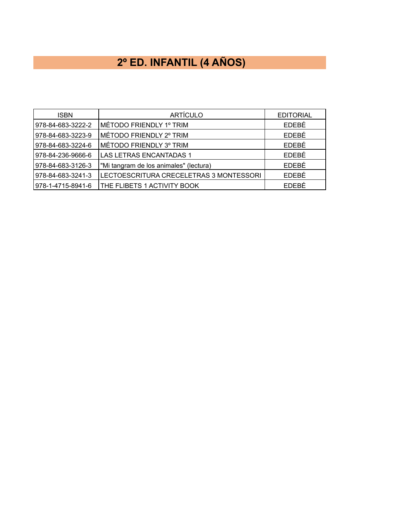## **2º ED. INFANTIL (4 AÑOS)**

| <b>ISBN</b>       | <b>ARTÍCULO</b>                         | <b>EDITORIAL</b> |
|-------------------|-----------------------------------------|------------------|
| 978-84-683-3222-2 | MÉTODO FRIENDLY 1º TRIM                 | EDEBÉ            |
| 978-84-683-3223-9 | MÉTODO FRIENDLY 2º TRIM                 | EDEBÉ            |
| 978-84-683-3224-6 | MÉTODO FRIENDLY 3º TRIM                 | EDEBÉ            |
| 978-84-236-9666-6 | <b>LAS LETRAS ENCANTADAS 1</b>          | EDEBÉ            |
| 978-84-683-3126-3 | "Mi tangram de los animales" (lectura)  | EDEBÉ            |
| 978-84-683-3241-3 | LECTOESCRITURA CRECELETRAS 3 MONTESSORI | EDEBÉ            |
| 978-1-4715-8941-6 | THE FLIBETS 1 ACTIVITY BOOK             | <b>FDEBE</b>     |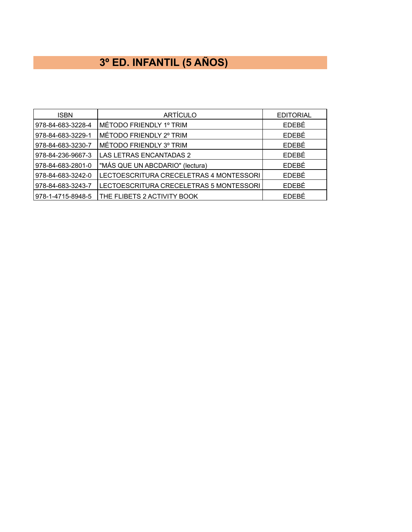## **3º ED. INFANTIL (5 AÑOS)**

| <b>ISBN</b>       | <b>ARTÍCULO</b>                         | <b>EDITORIAL</b> |
|-------------------|-----------------------------------------|------------------|
| 978-84-683-3228-4 | MÉTODO FRIENDLY 1º TRIM                 | EDEBÉ            |
| 978-84-683-3229-1 | MÉTODO FRIENDLY 2° TRIM                 | EDEBÉ            |
| 978-84-683-3230-7 | MÉTODO FRIENDLY 3° TRIM                 | EDEBÉ            |
| 978-84-236-9667-3 | LAS LETRAS ENCANTADAS 2                 | EDEBÉ            |
| 978-84-683-2801-0 | "MÁS QUE UN ABCDARIO" (lectura)         | EDEBÉ            |
| 978-84-683-3242-0 | LECTOESCRITURA CRECELETRAS 4 MONTESSORI | EDEBÉ            |
| 978-84-683-3243-7 | LECTOESCRITURA CRECELETRAS 5 MONTESSORI | EDEBÉ            |
| 978-1-4715-8948-5 | THE FLIBETS 2 ACTIVITY BOOK             | EDEBÉ            |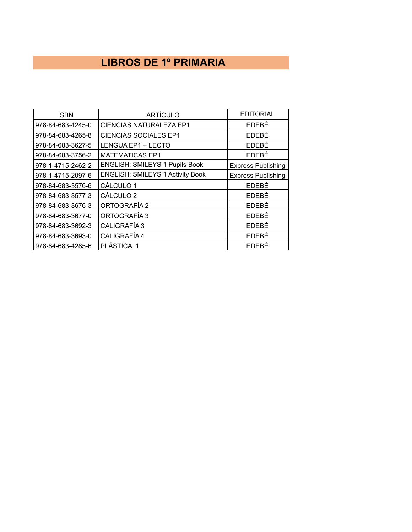### **LIBROS DE 1º PRIMARIA**

| <b>ISBN</b>       | <b>ARTÍCULO</b>                         | <b>EDITORIAL</b>          |
|-------------------|-----------------------------------------|---------------------------|
| 978-84-683-4245-0 | <b>CIENCIAS NATURALEZA EP1</b>          | EDEBÉ                     |
| 978-84-683-4265-8 | <b>CIENCIAS SOCIALES EP1</b>            | EDEBÉ                     |
| 978-84-683-3627-5 | LENGUA EP1 + LECTO                      | EDEBÉ                     |
| 978-84-683-3756-2 | <b>MATEMATICAS EP1</b>                  | EDEBÉ                     |
| 978-1-4715-2462-2 | <b>ENGLISH: SMILEYS 1 Pupils Book</b>   | <b>Express Publishing</b> |
| 978-1-4715-2097-6 | <b>ENGLISH: SMILEYS 1 Activity Book</b> | <b>Express Publishing</b> |
| 978-84-683-3576-6 | CÁLCULO 1                               | EDEBÉ                     |
| 978-84-683-3577-3 | CÁLCULO <sub>2</sub>                    | EDEBÉ                     |
| 978-84-683-3676-3 | ORTOGRAFÍA 2                            | EDEBÉ                     |
| 978-84-683-3677-0 | ORTOGRAFÍA 3                            | EDEBÉ                     |
| 978-84-683-3692-3 | CALIGRAFÍA 3                            | EDEBÉ                     |
| 978-84-683-3693-0 | CALIGRAFÍA 4                            | <b>EDEBÉ</b>              |
| 978-84-683-4285-6 | PLÁSTICA 1                              | EDEBÉ                     |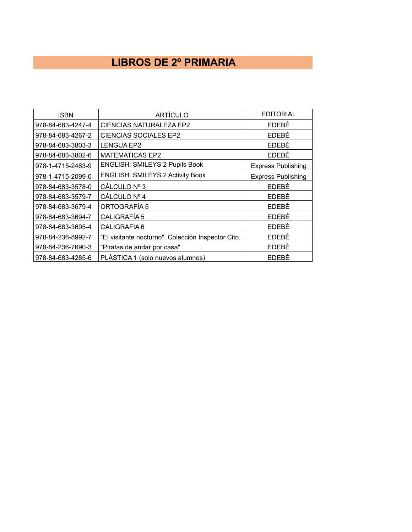#### **LIBROS DE 2º PRIMARIA**

| <b>ISBN</b>       | <b>ARTÍCULO</b>                                    | <b>EDITORIAL</b>          |
|-------------------|----------------------------------------------------|---------------------------|
| 978-84-683-4247-4 | <b>CIENCIAS NATURALEZA EP2</b>                     | <b>FDFBÉ</b>              |
| 978-84-683-4267-2 | <b>CIENCIAS SOCIALES EP2</b>                       | EDEBÉ                     |
| 978-84-683-3803-3 | <b>LENGUA EP2</b>                                  | EDEBÉ                     |
| 978-84-683-3802-6 | <b>MATEMATICAS EP2</b>                             | EDEBÉ                     |
| 978-1-4715-2463-9 | ENGLISH: SMILEYS 2 Pupils Book                     | <b>Express Publishing</b> |
| 978-1-4715-2099-0 | <b>ENGLISH: SMILEYS 2 Activity Book</b>            | <b>Express Publishing</b> |
| 978-84-683-3578-0 | CÁLCULO Nº 3                                       | EDEBÉ                     |
| 978-84-683-3579-7 | CÁLCULO Nº 4                                       | EDEBÉ                     |
| 978-84-683-3679-4 | ORTOGRAFÍA 5                                       | EDEBÉ                     |
| 978-84-683-3694-7 | CALIGRAFÍA 5                                       | EDEBÉ                     |
| 978-84-683-3695-4 | CALIGRAFIA 6                                       | EDEBÉ                     |
| 978-84-236-8992-7 | "El visitante nocturno". Colección Inspector Cito. | EDEBÉ                     |
| 978-84-236-7690-3 | "Piratas de andar por casa"                        | EDEBÉ                     |
| 978-84-683-4285-6 | PLÁSTICA 1 (solo nuevos alumnos)                   | EDEBÉ                     |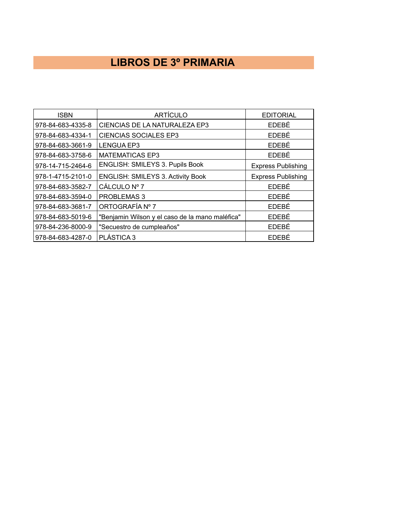#### **LIBROS DE 3º PRIMARIA**

| <b>ISBN</b>       | <b>ARTÍCULO</b>                                 | <b>EDITORIAL</b>          |
|-------------------|-------------------------------------------------|---------------------------|
| 978-84-683-4335-8 | CIENCIAS DE LA NATURALEZA EP3                   | EDEBÉ                     |
| 978-84-683-4334-1 | <b>CIENCIAS SOCIALES EP3</b>                    | EDEBÉ                     |
| 978-84-683-3661-9 | <b>LENGUA EP3</b>                               | EDEBÉ                     |
| 978-84-683-3758-6 | <b>MATEMATICAS EP3</b>                          | EDEBÉ                     |
| 978-14-715-2464-6 | ENGLISH: SMILEYS 3. Pupils Book                 | <b>Express Publishing</b> |
| 978-1-4715-2101-0 | <b>ENGLISH: SMILEYS 3. Activity Book</b>        | <b>Express Publishing</b> |
| 978-84-683-3582-7 | CÁLCULO Nº 7                                    | EDEBÉ                     |
| 978-84-683-3594-0 | PROBLEMAS 3                                     | EDEBÉ                     |
| 978-84-683-3681-7 | ORTOGRAFÍA Nº 7                                 | EDEBÉ                     |
| 978-84-683-5019-6 | "Benjamin Wilson y el caso de la mano maléfica" | EDEBÉ                     |
| 978-84-236-8000-9 | "Secuestro de cumpleaños"                       | EDEBÉ                     |
| 978-84-683-4287-0 | PLÁSTICA 3                                      | <b>FDFBÉ</b>              |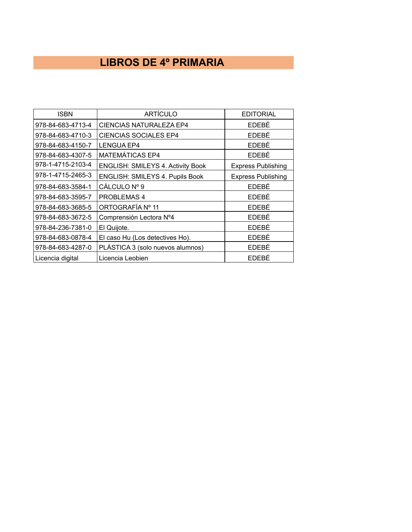## **LIBROS DE 4º PRIMARIA**

| <b>ISBN</b>       | <b>ARTÍCULO</b>                          | <b>EDITORIAL</b>          |
|-------------------|------------------------------------------|---------------------------|
| 978-84-683-4713-4 | <b>CIENCIAS NATURALEZA EP4</b>           | EDEBÉ                     |
| 978-84-683-4710-3 | <b>CIENCIAS SOCIALES EP4</b>             | EDEBÉ                     |
| 978-84-683-4150-7 | <b>LENGUA EP4</b>                        | EDEBÉ                     |
| 978-84-683-4307-5 | MATEMÁTICAS EP4                          | EDEBÉ                     |
| 978-1-4715-2103-4 | <b>ENGLISH: SMILEYS 4. Activity Book</b> | <b>Express Publishing</b> |
| 978-1-4715-2465-3 | ENGLISH: SMILEYS 4. Pupils Book          | <b>Express Publishing</b> |
| 978-84-683-3584-1 | CÁLCULO Nº 9                             | <b>EDEBÉ</b>              |
| 978-84-683-3595-7 | <b>PROBLEMAS4</b>                        | EDEBÉ                     |
| 978-84-683-3685-5 | ORTOGRAFÍA Nº 11                         | EDEBÉ                     |
| 978-84-683-3672-5 | Comprensión Lectora Nº4                  | <b>EDEBÉ</b>              |
| 978-84-236-7381-0 | El Quijote.                              | EDEBÉ                     |
| 978-84-683-0878-4 | El caso Hu (Los detectives Ho).          | EDEBÉ                     |
| 978-84-683-4287-0 | PLÁSTICA 3 (solo nuevos alumnos)         | EDEBÉ                     |
| Licencia digital  | Licencia Leobien                         | EDEBÉ                     |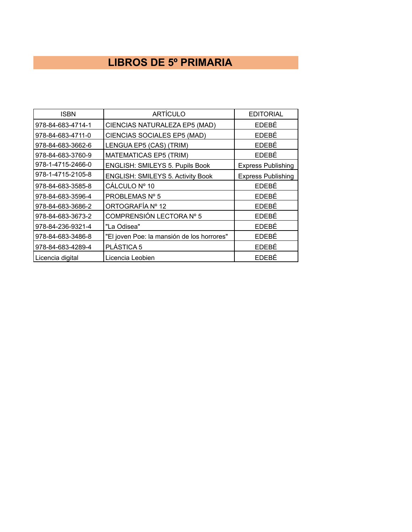### **LIBROS DE 5º PRIMARIA**

| <b>ISBN</b>       | <b>ARTÍCULO</b>                            | <b>EDITORIAL</b>          |
|-------------------|--------------------------------------------|---------------------------|
| 978-84-683-4714-1 | CIENCIAS NATURALEZA EP5 (MAD)              | EDEBÉ                     |
| 978-84-683-4711-0 | CIENCIAS SOCIALES EP5 (MAD)                | <b>EDEBÉ</b>              |
| 978-84-683-3662-6 | LENGUA EP5 (CAS) (TRIM)                    | EDEBÉ                     |
| 978-84-683-3760-9 | <b>MATEMATICAS EP5 (TRIM)</b>              | <b>EDEBÉ</b>              |
| 978-1-4715-2466-0 | ENGLISH: SMILEYS 5. Pupils Book            | <b>Express Publishing</b> |
| 978-1-4715-2105-8 | <b>ENGLISH: SMILEYS 5. Activity Book</b>   | <b>Express Publishing</b> |
| 978-84-683-3585-8 | CÁLCULO Nº 10                              | EDEBÉ                     |
| 978-84-683-3596-4 | PROBLEMAS Nº 5                             | EDEBÉ                     |
| 978-84-683-3686-2 | ORTOGRAFÍA Nº 12                           | EDEBÉ                     |
| 978-84-683-3673-2 | COMPRENSIÓN LECTORA Nº 5                   | EDEBÉ                     |
| 978-84-236-9321-4 | "La Odisea"                                | EDEBÉ                     |
| 978-84-683-3486-8 | "El joven Poe: la mansión de los horrores" | EDEBÉ                     |
| 978-84-683-4289-4 | PLÁSTICA 5                                 | EDEBÉ                     |
| Licencia digital  | Licencia Leobien                           | EDEBÉ                     |
|                   |                                            |                           |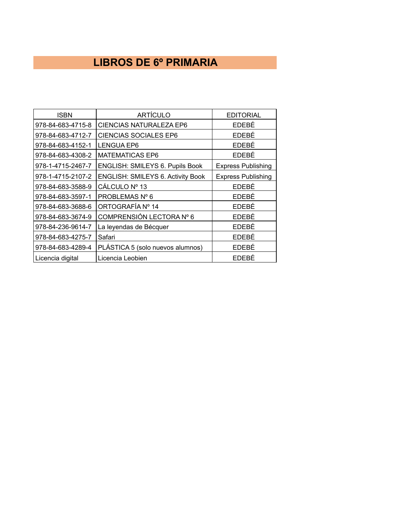#### **LIBROS DE 6º PRIMARIA**

| <b>ISBN</b>       | <b>ARTÍCULO</b>                          | <b>EDITORIAL</b>          |
|-------------------|------------------------------------------|---------------------------|
| 978-84-683-4715-8 | <b>CIENCIAS NATURALEZA EP6</b>           | EDEBÉ                     |
| 978-84-683-4712-7 | <b>CIENCIAS SOCIALES EP6</b>             | EDEBÉ                     |
| 978-84-683-4152-1 | <b>LENGUA EP6</b>                        | EDEBÉ                     |
| 978-84-683-4308-2 | <b>MATEMATICAS EP6</b>                   | EDEBÉ                     |
| 978-1-4715-2467-7 | ENGLISH: SMILEYS 6. Pupils Book          | <b>Express Publishing</b> |
| 978-1-4715-2107-2 | <b>ENGLISH: SMILEYS 6. Activity Book</b> | <b>Express Publishing</b> |
| 978-84-683-3588-9 | CÁLCULO Nº 13                            | EDEBÉ                     |
| 978-84-683-3597-1 | PROBLEMAS Nº 6                           | EDEBÉ                     |
| 978-84-683-3688-6 | ORTOGRAFÍA Nº 14                         | EDEBÉ                     |
| 978-84-683-3674-9 | COMPRENSIÓN LECTORA Nº 6                 | EDEBÉ                     |
| 978-84-236-9614-7 | La leyendas de Bécquer                   | EDEBÉ                     |
| 978-84-683-4275-7 | Safari                                   | EDEBÉ                     |
| 978-84-683-4289-4 | PLÁSTICA 5 (solo nuevos alumnos)         | EDEBÉ                     |
| Licencia digital  | Licencia Leobien                         | EDEBÉ                     |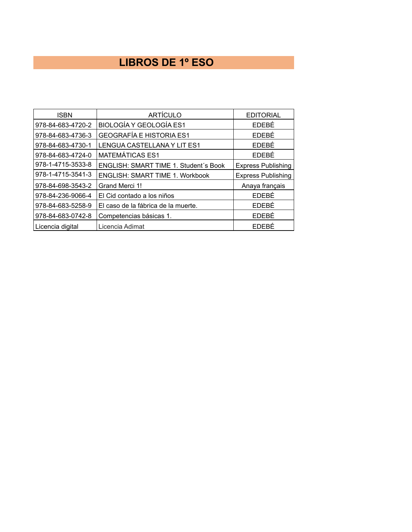### **LIBROS DE 1º ESO**

| <b>ISBN</b>       | <b>ARTÍCULO</b>                        | <b>EDITORIAL</b>          |
|-------------------|----------------------------------------|---------------------------|
| 978-84-683-4720-2 | <b>BIOLOGÍA Y GEOLOGÍA ES1</b>         | EDEBÉ                     |
| 978-84-683-4736-3 | <b>GEOGRAFÍA E HISTORIA ES1</b>        | EDEBÉ                     |
| 978-84-683-4730-1 | LENGUA CASTELLANA Y LIT ES1            | EDEBÉ                     |
| 978-84-683-4724-0 | <b>MATEMÁTICAS ES1</b>                 | EDEBÉ                     |
| 978-1-4715-3533-8 | ENGLISH: SMART TIME 1. Student's Book  | <b>Express Publishing</b> |
| 978-1-4715-3541-3 | <b>ENGLISH: SMART TIME 1. Workbook</b> | <b>Express Publishing</b> |
| 978-84-698-3543-2 | Grand Merci 1!                         | Anaya français            |
| 978-84-236-9066-4 | El Cid contado a los niños             | EDEBÉ                     |
| 978-84-683-5258-9 | El caso de la fábrica de la muerte.    | <b>EDEBÉ</b>              |
| 978-84-683-0742-8 | Competencias básicas 1.                | EDEBÉ                     |
| Licencia digital  | Licencia Adimat                        | EDEBÉ                     |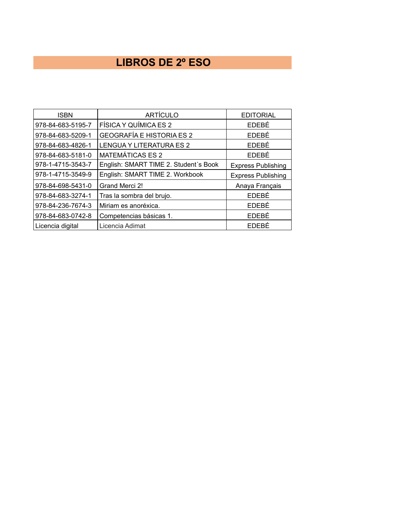### **LIBROS DE 2º ESO**

| <b>ISBN</b>       | <b>ARTÍCULO</b>                       | <b>EDITORIAL</b>          |
|-------------------|---------------------------------------|---------------------------|
| 978-84-683-5195-7 | FÍSICA Y QUÍMICA ES 2                 | EDEBÉ                     |
| 978-84-683-5209-1 | <b>GEOGRAFÍA E HISTORIA ES 2</b>      | EDEBÉ                     |
| 978-84-683-4826-1 | <b>LENGUA Y LITERATURA ES 2</b>       | EDEBÉ                     |
| 978-84-683-5181-0 | <b>MATEMÁTICAS ES 2</b>               | EDEBÉ                     |
| 978-1-4715-3543-7 | English: SMART TIME 2. Student's Book | <b>Express Publishing</b> |
| 978-1-4715-3549-9 | English: SMART TIME 2. Workbook       | <b>Express Publishing</b> |
| 978-84-698-5431-0 | Grand Merci 2!                        | Anaya Français            |
| 978-84-683-3274-1 | Tras la sombra del brujo.             | EDEBÉ                     |
| 978-84-236-7674-3 | Miriam es anoréxica.                  | EDEBÉ                     |
| 978-84-683-0742-8 | Competencias básicas 1.               | EDEBÉ                     |
| Licencia digital  | Licencia Adimat                       | EDEBÉ                     |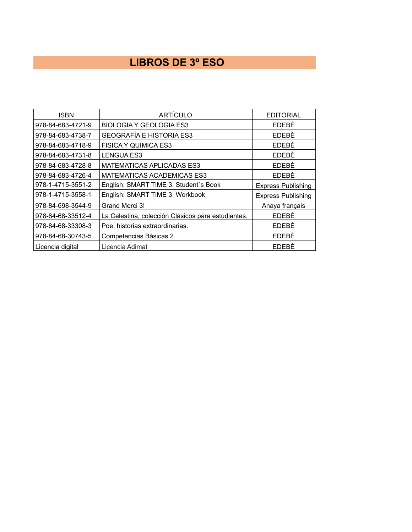### **LIBROS DE 3º ESO**

| <b>ISBN</b>       | <b>ARTÍCULO</b>                                    | <b>EDITORIAL</b>          |
|-------------------|----------------------------------------------------|---------------------------|
| 978-84-683-4721-9 | <b>BIOLOGIA Y GEOLOGIA ES3</b>                     | EDEBÉ                     |
| 978-84-683-4738-7 | <b>GEOGRAFÍA E HISTORIA ES3</b>                    | EDEBÉ                     |
| 978-84-683-4718-9 | <b>FISICA Y QUIMICA ES3</b>                        | EDEBÉ                     |
| 978-84-683-4731-8 | <b>LENGUA ES3</b>                                  | EDEBÉ                     |
| 978-84-683-4728-8 | <b>MATEMATICAS APLICADAS ES3</b>                   | EDEBÉ                     |
| 978-84-683-4726-4 | <b>MATEMATICAS ACADEMICAS ES3</b>                  | EDEBÉ                     |
| 978-1-4715-3551-2 | English: SMART TIME 3. Student's Book              | <b>Express Publishing</b> |
| 978-1-4715-3558-1 | English: SMART TIME 3. Workbook                    | <b>Express Publishing</b> |
| 978-84-698-3544-9 | Grand Merci 3!                                     | Anaya français            |
| 978-84-68-33512-4 | La Celestina, colección Clásicos para estudiantes. | EDEBÉ                     |
| 978-84-68-33308-3 | Poe: historias extraordinarias.                    | EDEBÉ                     |
| 978-84-68-30743-5 | Competencias Básicas 2.                            | EDEBÉ                     |
| Licencia digital  | Licencia Adimat                                    | EDEBÉ                     |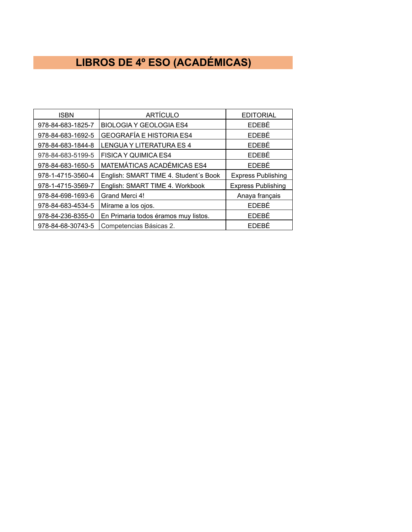## **LIBROS DE 4º ESO (ACADÉMICAS)**

| <b>ISBN</b>       | <b>ARTÍCULO</b>                       | <b>EDITORIAL</b>          |
|-------------------|---------------------------------------|---------------------------|
| 978-84-683-1825-7 | <b>BIOLOGIA Y GEOLOGIA ES4</b>        | EDEBÉ                     |
| 978-84-683-1692-5 | <b>GEOGRAFÍA E HISTORIA ES4</b>       | EDEBÉ                     |
| 978-84-683-1844-8 | LENGUA Y LITERATURA ES 4              | EDEBÉ                     |
| 978-84-683-5199-5 | <b>FISICA Y QUIMICA ES4</b>           | EDEBÉ                     |
| 978-84-683-1650-5 | MATEMÁTICAS ACADÉMICAS ES4            | EDEBÉ                     |
| 978-1-4715-3560-4 | English: SMART TIME 4. Student's Book | <b>Express Publishing</b> |
| 978-1-4715-3569-7 | English: SMART TIME 4. Workbook       | <b>Express Publishing</b> |
| 978-84-698-1693-6 | Grand Merci 4!                        | Anaya français            |
| 978-84-683-4534-5 | Mírame a los ojos.                    | EDEBÉ                     |
| 978-84-236-8355-0 | En Primaria todos éramos muy listos.  | EDEBÉ                     |
| 978-84-68-30743-5 | Competencias Básicas 2.               | <b>FDFBÉ</b>              |